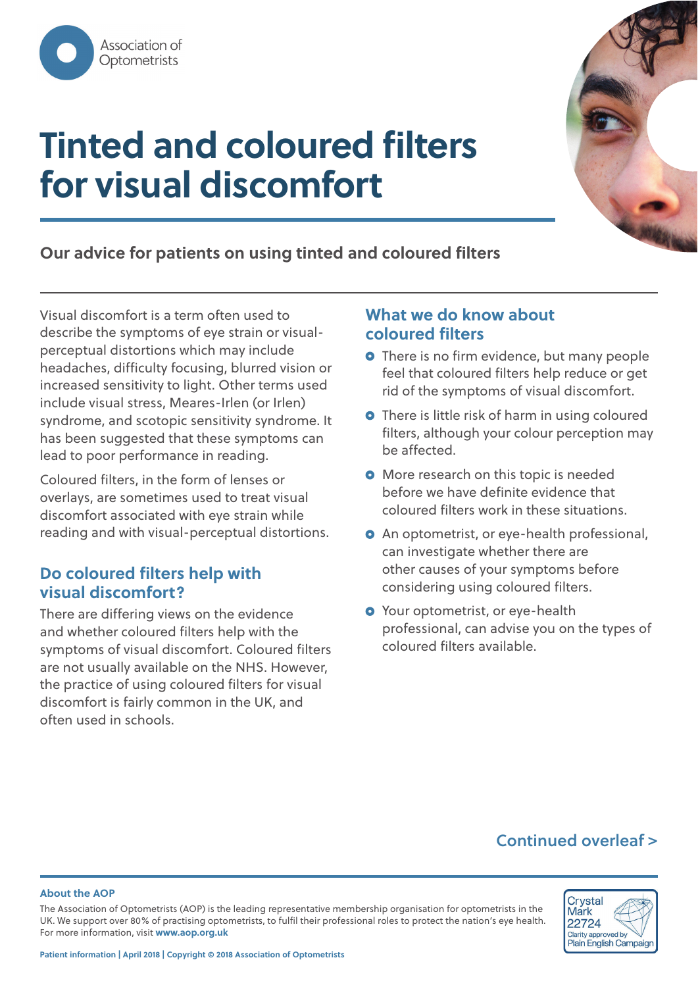

# **Tinted and coloured filters for visual discomfort**



**Our advice for patients on using tinted and coloured filters** 

Visual discomfort is a term often used to describe the symptoms of eye strain or visualperceptual distortions which may include headaches, difficulty focusing, blurred vision or increased sensitivity to light. Other terms used include visual stress, Meares-Irlen (or Irlen) syndrome, and scotopic sensitivity syndrome. It has been suggested that these symptoms can lead to poor performance in reading.

Coloured filters, in the form of lenses or overlays, are sometimes used to treat visual discomfort associated with eye strain while reading and with visual-perceptual distortions.

## **Do coloured filters help with visual discomfort?**

There are differing views on the evidence and whether coloured filters help with the symptoms of visual discomfort. Coloured filters are not usually available on the NHS. However, the practice of using coloured filters for visual discomfort is fairly common in the UK, and often used in schools.

## **What we do know about coloured filters**

- **O** There is no firm evidence, but many people feel that coloured filters help reduce or get rid of the symptoms of visual discomfort.
- **O** There is little risk of harm in using coloured filters, although your colour perception may be affected.
- **O** More research on this topic is needed before we have definite evidence that coloured filters work in these situations.
- **O** An optometrist, or eye-health professional, can investigate whether there are other causes of your symptoms before considering using coloured filters.
- **O** Your optometrist, or eye-health professional, can advise you on the types of coloured filters available.

## **Continued overleaf >**

#### **About the AOP**

The Association of Optometrists (AOP) is the leading representative membership organisation for optometrists in the UK. We support over 80% of practising optometrists, to fulfil their professional roles to protect the nation's eye health. For more information, visit **www.aop.org.uk**